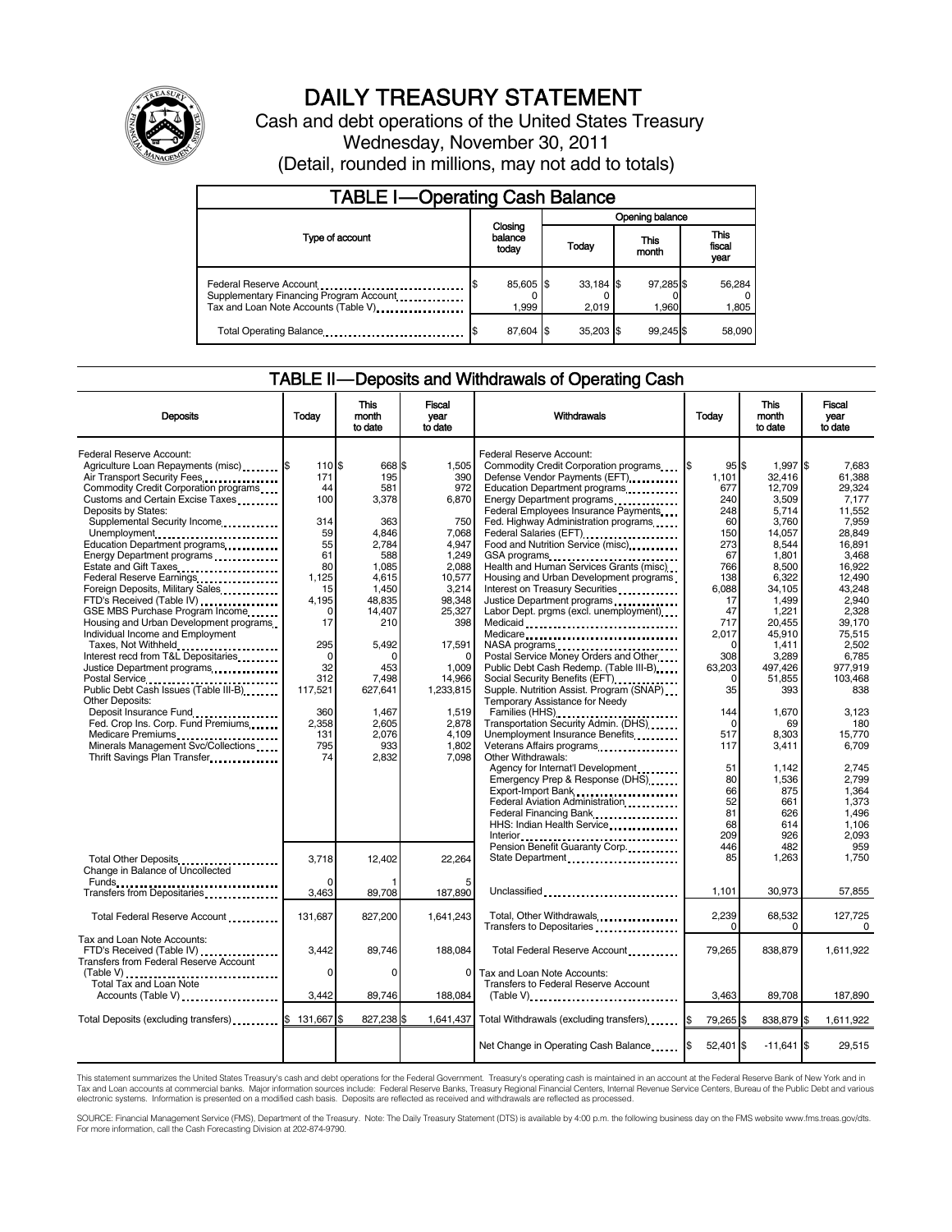

# DAILY TREASURY STATEMENT

Cash and debt operations of the United States Treasury Wednesday, November 30, 2011 (Detail, rounded in millions, may not add to totals)

| <b>TABLE I-Operating Cash Balance</b>                                                                       |                             |                    |                 |                      |               |                    |  |                               |
|-------------------------------------------------------------------------------------------------------------|-----------------------------|--------------------|-----------------|----------------------|---------------|--------------------|--|-------------------------------|
|                                                                                                             | Closing<br>balance<br>today |                    | Opening balance |                      |               |                    |  |                               |
| Type of account                                                                                             |                             |                    | Today           |                      | This<br>month |                    |  | <b>This</b><br>fiscal<br>year |
| Federal Reserve Account<br>Supplementary Financing Program Account<br>Tax and Loan Note Accounts (Table V). |                             | 85,605 \$<br>1,999 |                 | $33,184$ \$<br>2,019 |               | 97,285 \$<br>1,960 |  | 56,284<br>1,805               |
| Total Operating Balance                                                                                     |                             | 87,604 \$          |                 | 35.203 \$            |               | 99.245 \$          |  | 58.090                        |

### TABLE II — Deposits and Withdrawals of Operating Cash

| <b>Deposits</b>                                                                                                                                                                                                                                                                                                                                   | Today                                                                     | This<br>month<br>to date                                                       | Fiscal<br>vear<br>to date                                                           | Withdrawals                                                                                                                                                                                                                                                                                                                                                                     | Today                                                                             | <b>This</b><br>month<br>to date                                                                | Fiscal<br>vear<br>to date                                                                      |
|---------------------------------------------------------------------------------------------------------------------------------------------------------------------------------------------------------------------------------------------------------------------------------------------------------------------------------------------------|---------------------------------------------------------------------------|--------------------------------------------------------------------------------|-------------------------------------------------------------------------------------|---------------------------------------------------------------------------------------------------------------------------------------------------------------------------------------------------------------------------------------------------------------------------------------------------------------------------------------------------------------------------------|-----------------------------------------------------------------------------------|------------------------------------------------------------------------------------------------|------------------------------------------------------------------------------------------------|
| Federal Reserve Account:<br>Agriculture Loan Repayments (misc) \$<br>Air Transport Security Fees.<br>Commodity Credit Corporation programs<br>Customs and Certain Excise Taxes<br>Deposits by States:<br>Supplemental Security Income<br>Unemployment<br>Education Department programs<br>Energy Department programs<br>Estate and Gift Taxes<br> | 110 \$<br>171<br>44<br>100<br>314<br>59<br>55<br>61<br>80                 | 668 \$<br>195<br>581<br>3,378<br>363<br>4.846<br>2,784<br>588<br>1.085         | 1.505<br>390<br>972<br>6,870<br>750<br>7,068<br>4,947<br>1.249<br>2.088             | Federal Reserve Account:<br>Commodity Credit Corporation programs<br>Defense Vendor Payments (EFT)<br>Education Department programs<br>Energy Department programs<br>Federal Employees Insurance Payments<br>Fed. Highway Administration programs<br>Federal Salaries (EFT)<br>Food and Nutrition Service (misc)<br>GSA programs<br><br>Health and Human Services Grants (misc) | 95S<br>I\$<br>1.101<br>677<br>240<br>248<br>60<br>150<br>273<br>67<br>766         | $1.997$ \$<br>32.416<br>12.709<br>3,509<br>5.714<br>3.760<br>14,057<br>8,544<br>1.801<br>8.500 | 7.683<br>61.388<br>29.324<br>7.177<br>11.552<br>7.959<br>28.849<br>16.891<br>3.468<br>16.922   |
| Federal Reserve Earnings<br>Foreign Deposits, Military Sales<br>FTD's Received (Table IV)<br>GSE MBS Purchase Program Income<br>Housing and Urban Development programs<br>Individual Income and Employment<br>Taxes, Not Withheld<br>Interest recd from T&L Depositaries<br>Justice Department programs                                           | 1.125<br>15<br>4.195<br>$\Omega$<br>17<br>295<br>$\mathbf 0$<br>32<br>312 | 4.615<br>1,450<br>48.835<br>14,407<br>210<br>5.492<br>$\Omega$<br>453<br>7,498 | 10.577<br>3,214<br>98,348<br>25,327<br>398<br>17.591<br>$\Omega$<br>1,009<br>14,966 | Housing and Urban Development programs<br>Interest on Treasury Securities<br>Justice Department programs<br>Labor Dept. prgms (excl. unemployment)<br>Medicaid<br>Medicare<br>NASA programs<br>Postal Service Money Orders and Other<br>Public Debt Cash Redemp. (Table III-B)<br>Social Security Benefits (EFT)<br>1991 - The Social Security Benefits (EFT)                   | 138<br>6,088<br>17<br>47<br>717<br>2.017<br>$\Omega$<br>308<br>63,203<br>$\Omega$ | 6.322<br>34,105<br>1,499<br>1,221<br>20.455<br>45.910<br>1.411<br>3,289<br>497.426<br>51,855   | 12.490<br>43.248<br>2.940<br>2,328<br>39.170<br>75.515<br>2.502<br>6,785<br>977,919<br>103.468 |
| Postal Service<br>Public Debt Cash Issues (Table III-B)<br>The Cash Issues (Table III-B)<br><b>Other Deposits:</b><br>Deposit Insurance Fund<br>Fed. Crop Ins. Corp. Fund Premiums<br>Medicare Premiums<br>Minerals Management Svc/Collections<br>Thrift Savings Plan Transfer                                                                    | 117,521<br>360<br>2,358<br>131<br>795<br>74                               | 627,641<br>1,467<br>2.605<br>2,076<br>933<br>2,832                             | 1.233.815<br>1,519<br>2,878<br>4.109<br>1,802<br>7.098                              | Supple. Nutrition Assist. Program (SNAP)<br>Temporary Assistance for Needy<br>Families (HHS)<br>Transportation Security Admin. (DHS)<br>Unemployment Insurance Benefits<br>Veterans Affairs programs<br>Other Withdrawals:<br>Agency for Internat'l Development<br>Emergency Prep & Response (DHS)<br>Export-Import Bank                                                        | 35<br>144<br>$\Omega$<br>517<br>117<br>51<br>80<br>66                             | 393<br>1,670<br>69<br>8,303<br>3,411<br>1.142<br>1,536<br>875                                  | 838<br>3,123<br>180<br>15,770<br>6.709<br>2.745<br>2.799<br>1,364                              |
| Total Other Deposits<br>Change in Balance of Uncollected                                                                                                                                                                                                                                                                                          | 3,718<br><sup>0</sup>                                                     | 12,402                                                                         | 22.264                                                                              | Federal Aviation Administration<br>Federal Financing Bank<br>HHS: Indian Health Service<br>Pension Benefit Guaranty Corp.<br>State Department                                                                                                                                                                                                                                   | 52<br>81<br>68<br>209<br>446<br>85                                                | 661<br>626<br>614<br>926<br>482<br>1,263                                                       | 1.373<br>1.496<br>1.106<br>2,093<br>959<br>1,750                                               |
| Transfers from Depositaries<br>Total Federal Reserve Account                                                                                                                                                                                                                                                                                      | 3,463<br>131,687                                                          | 89,708<br>827,200                                                              | 187,890<br>1,641,243                                                                | Unclassified<br>Total, Other Withdrawals<br>Transfers to Depositaries                                                                                                                                                                                                                                                                                                           | 1.101<br>2,239<br>$\Omega$                                                        | 30.973<br>68,532<br>$\mathbf 0$                                                                | 57,855<br>127,725<br>$\Omega$                                                                  |
| Tax and Loan Note Accounts:<br>FTD's Received (Table IV)<br><b>Transfers from Federal Reserve Account</b><br>$(Table V)$<br>Total Tax and Loan Note                                                                                                                                                                                               | 3.442<br>0                                                                | 89,746<br>0                                                                    | 188,084<br>$\mathbf 0$                                                              | Total Federal Reserve Account<br>Tax and Loan Note Accounts:<br>Transfers to Federal Reserve Account                                                                                                                                                                                                                                                                            | 79,265                                                                            | 838,879                                                                                        | 1,611,922                                                                                      |
| Accounts (Table V)<br>Total Deposits (excluding transfers)                                                                                                                                                                                                                                                                                        | 3,442<br>1\$<br>131.667                                                   | 89,746<br>827,238 \$                                                           | 188,084                                                                             | $(Table V)$<br>1,641,437 Total Withdrawals (excluding transfers) [\$                                                                                                                                                                                                                                                                                                            | 3,463<br>79,265 \$                                                                | 89,708<br>838,879 \$                                                                           | 187,890<br>1,611,922                                                                           |
|                                                                                                                                                                                                                                                                                                                                                   |                                                                           |                                                                                |                                                                                     | Net Change in Operating Cash Balance                                                                                                                                                                                                                                                                                                                                            | $52,401$ \$                                                                       | $-11.641$ \$                                                                                   | 29,515                                                                                         |

This statement summarizes the United States Treasury's cash and debt operations for the Federal Government. Treasury's operating cash is maintained in an account at the Federal Reserve Bank of New York and in<br>Tax and Loan

SOURCE: Financial Management Service (FMS), Department of the Treasury. Note: The Daily Treasury Statement (DTS) is available by 4:00 p.m. the following business day on the FMS website www.fms.treas.gov/dts.<br>For more infor